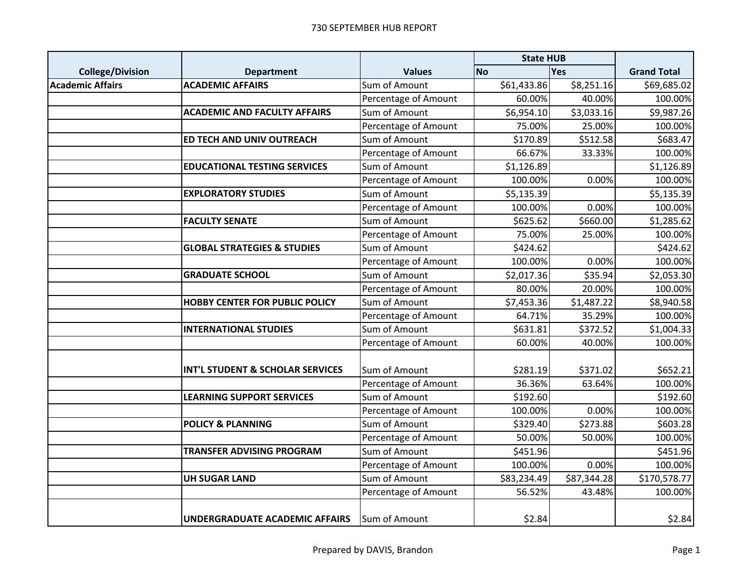|                         |                                        |                      | <b>State HUB</b> |             |                    |
|-------------------------|----------------------------------------|----------------------|------------------|-------------|--------------------|
| <b>College/Division</b> | <b>Department</b>                      | <b>Values</b>        | <b>No</b>        | <b>Yes</b>  | <b>Grand Total</b> |
| <b>Academic Affairs</b> | <b>ACADEMIC AFFAIRS</b>                | Sum of Amount        | \$61,433.86      | \$8,251.16  | \$69,685.02        |
|                         |                                        | Percentage of Amount | 60.00%           | 40.00%      | 100.00%            |
|                         | <b>ACADEMIC AND FACULTY AFFAIRS</b>    | Sum of Amount        | \$6,954.10       | \$3,033.16  | \$9,987.26         |
|                         |                                        | Percentage of Amount | 75.00%           | 25.00%      | 100.00%            |
|                         | ED TECH AND UNIV OUTREACH              | Sum of Amount        | \$170.89         | \$512.58    | \$683.47           |
|                         |                                        | Percentage of Amount | 66.67%           | 33.33%      | 100.00%            |
|                         | <b>EDUCATIONAL TESTING SERVICES</b>    | Sum of Amount        | \$1,126.89       |             | \$1,126.89         |
|                         |                                        | Percentage of Amount | 100.00%          | 0.00%       | 100.00%            |
|                         | <b>EXPLORATORY STUDIES</b>             | Sum of Amount        | \$5,135.39       |             | \$5,135.39         |
|                         |                                        | Percentage of Amount | 100.00%          | 0.00%       | 100.00%            |
|                         | <b>FACULTY SENATE</b>                  | Sum of Amount        | \$625.62         | \$660.00    | \$1,285.62         |
|                         |                                        | Percentage of Amount | 75.00%           | 25.00%      | 100.00%            |
|                         | <b>GLOBAL STRATEGIES &amp; STUDIES</b> | Sum of Amount        | \$424.62         |             | \$424.62           |
|                         |                                        | Percentage of Amount | 100.00%          | 0.00%       | 100.00%            |
|                         | <b>GRADUATE SCHOOL</b>                 | Sum of Amount        | \$2,017.36       | \$35.94     | \$2,053.30         |
|                         |                                        | Percentage of Amount | 80.00%           | 20.00%      | 100.00%            |
|                         | <b>HOBBY CENTER FOR PUBLIC POLICY</b>  | Sum of Amount        | \$7,453.36       | \$1,487.22  | \$8,940.58         |
|                         |                                        | Percentage of Amount | 64.71%           | 35.29%      | 100.00%            |
|                         | <b>INTERNATIONAL STUDIES</b>           | Sum of Amount        | \$631.81         | \$372.52    | \$1,004.33         |
|                         |                                        | Percentage of Amount | 60.00%           | 40.00%      | 100.00%            |
|                         |                                        |                      |                  |             |                    |
|                         | INT'L STUDENT & SCHOLAR SERVICES       | Sum of Amount        | \$281.19         | \$371.02    | \$652.21           |
|                         |                                        | Percentage of Amount | 36.36%           | 63.64%      | 100.00%            |
|                         | <b>LEARNING SUPPORT SERVICES</b>       | Sum of Amount        | \$192.60         |             | \$192.60           |
|                         |                                        | Percentage of Amount | 100.00%          | 0.00%       | 100.00%            |
|                         | <b>POLICY &amp; PLANNING</b>           | Sum of Amount        | \$329.40         | \$273.88    | \$603.28           |
|                         |                                        | Percentage of Amount | 50.00%           | 50.00%      | 100.00%            |
|                         | TRANSFER ADVISING PROGRAM              | Sum of Amount        | \$451.96         |             | \$451.96           |
|                         |                                        | Percentage of Amount | 100.00%          | 0.00%       | 100.00%            |
|                         | <b>UH SUGAR LAND</b>                   | Sum of Amount        | \$83,234.49      | \$87,344.28 | \$170,578.77       |
|                         |                                        | Percentage of Amount | 56.52%           | 43.48%      | 100.00%            |
|                         | <b>UNDERGRADUATE ACADEMIC AFFAIRS</b>  | Sum of Amount        | \$2.84           |             | \$2.84             |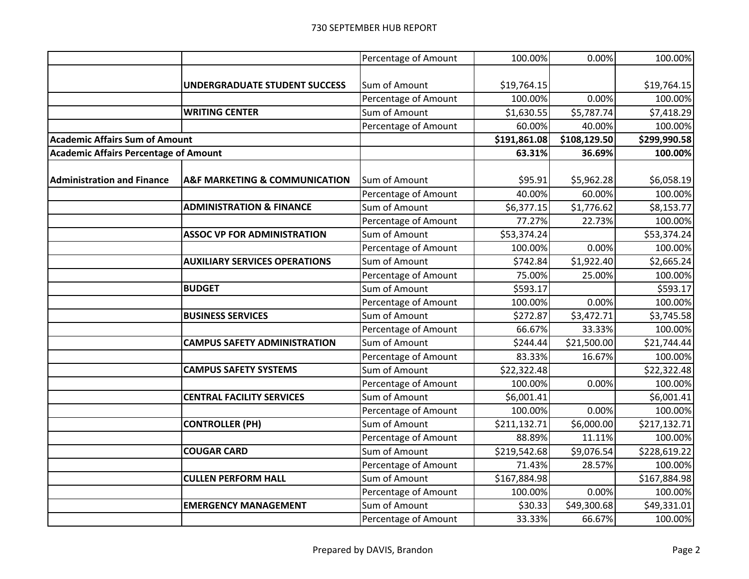|                                              |                                              | Percentage of Amount | 100.00%      | 0.00%        | 100.00%      |
|----------------------------------------------|----------------------------------------------|----------------------|--------------|--------------|--------------|
|                                              |                                              |                      |              |              |              |
|                                              | <b>UNDERGRADUATE STUDENT SUCCESS</b>         | Sum of Amount        | \$19,764.15  |              | \$19,764.15  |
|                                              |                                              | Percentage of Amount | 100.00%      | 0.00%        | 100.00%      |
|                                              | <b>WRITING CENTER</b>                        | Sum of Amount        | \$1,630.55   | \$5,787.74   | \$7,418.29   |
|                                              |                                              | Percentage of Amount | 60.00%       | 40.00%       | 100.00%      |
| <b>Academic Affairs Sum of Amount</b>        |                                              |                      | \$191,861.08 | \$108,129.50 | \$299,990.58 |
| <b>Academic Affairs Percentage of Amount</b> |                                              |                      | 63.31%       | 36.69%       | 100.00%      |
|                                              |                                              |                      |              |              |              |
| <b>Administration and Finance</b>            | <b>A&amp;F MARKETING &amp; COMMUNICATION</b> | Sum of Amount        | \$95.91      | \$5,962.28   | \$6,058.19   |
|                                              |                                              | Percentage of Amount | 40.00%       | 60.00%       | 100.00%      |
|                                              | <b>ADMINISTRATION &amp; FINANCE</b>          | Sum of Amount        | \$6,377.15   | \$1,776.62   | \$8,153.77   |
|                                              |                                              | Percentage of Amount | 77.27%       | 22.73%       | 100.00%      |
|                                              | <b>ASSOC VP FOR ADMINISTRATION</b>           | Sum of Amount        | \$53,374.24  |              | \$53,374.24  |
|                                              |                                              | Percentage of Amount | 100.00%      | 0.00%        | 100.00%      |
|                                              | <b>AUXILIARY SERVICES OPERATIONS</b>         | Sum of Amount        | \$742.84     | \$1,922.40   | \$2,665.24   |
|                                              |                                              | Percentage of Amount | 75.00%       | 25.00%       | 100.00%      |
|                                              | <b>BUDGET</b>                                | Sum of Amount        | \$593.17     |              | \$593.17     |
|                                              |                                              | Percentage of Amount | 100.00%      | 0.00%        | 100.00%      |
|                                              | <b>BUSINESS SERVICES</b>                     | Sum of Amount        | \$272.87     | \$3,472.71   | \$3,745.58   |
|                                              |                                              | Percentage of Amount | 66.67%       | 33.33%       | 100.00%      |
|                                              | <b>CAMPUS SAFETY ADMINISTRATION</b>          | Sum of Amount        | \$244.44     | \$21,500.00  | \$21,744.44  |
|                                              |                                              | Percentage of Amount | 83.33%       | 16.67%       | 100.00%      |
|                                              | <b>CAMPUS SAFETY SYSTEMS</b>                 | Sum of Amount        | \$22,322.48  |              | \$22,322.48  |
|                                              |                                              | Percentage of Amount | 100.00%      | 0.00%        | 100.00%      |
|                                              | <b>CENTRAL FACILITY SERVICES</b>             | Sum of Amount        | \$6,001.41   |              | \$6,001.41   |
|                                              |                                              | Percentage of Amount | 100.00%      | 0.00%        | 100.00%      |
|                                              | <b>CONTROLLER (PH)</b>                       | Sum of Amount        | \$211,132.71 | \$6,000.00   | \$217,132.71 |
|                                              |                                              | Percentage of Amount | 88.89%       | 11.11%       | 100.00%      |
|                                              | <b>COUGAR CARD</b>                           | Sum of Amount        | \$219,542.68 | \$9,076.54   | \$228,619.22 |
|                                              |                                              | Percentage of Amount | 71.43%       | 28.57%       | 100.00%      |
|                                              | <b>CULLEN PERFORM HALL</b>                   | Sum of Amount        | \$167,884.98 |              | \$167,884.98 |
|                                              |                                              | Percentage of Amount | 100.00%      | 0.00%        | 100.00%      |
|                                              | <b>EMERGENCY MANAGEMENT</b>                  | Sum of Amount        | \$30.33      | \$49,300.68  | \$49,331.01  |
|                                              |                                              | Percentage of Amount | 33.33%       | 66.67%       | 100.00%      |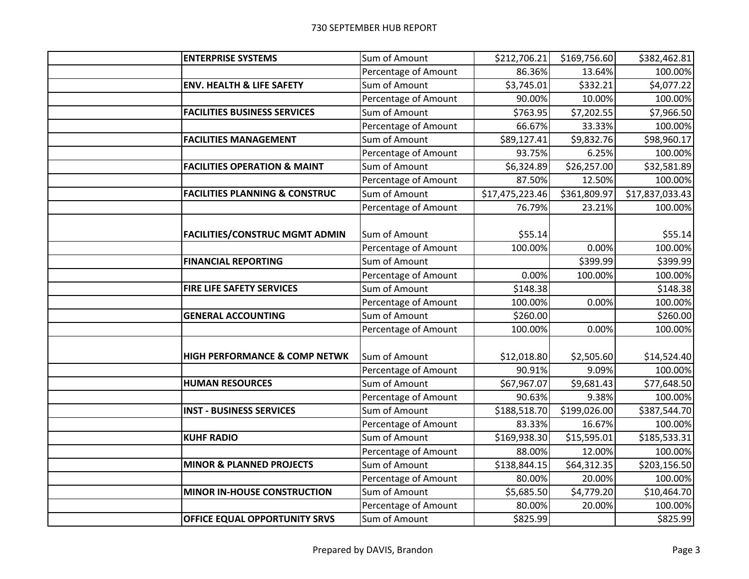| <b>ENTERPRISE SYSTEMS</b>                 | Sum of Amount        | \$212,706.21    | \$169,756.60 | \$382,462.81    |
|-------------------------------------------|----------------------|-----------------|--------------|-----------------|
|                                           | Percentage of Amount | 86.36%          | 13.64%       | 100.00%         |
| <b>ENV. HEALTH &amp; LIFE SAFETY</b>      | Sum of Amount        | \$3,745.01      | \$332.21     | \$4,077.22      |
|                                           | Percentage of Amount | 90.00%          | 10.00%       | 100.00%         |
| <b>FACILITIES BUSINESS SERVICES</b>       | Sum of Amount        | \$763.95        | \$7,202.55   | \$7,966.50      |
|                                           | Percentage of Amount | 66.67%          | 33.33%       | 100.00%         |
| <b>FACILITIES MANAGEMENT</b>              | Sum of Amount        | \$89,127.41     | \$9,832.76   | \$98,960.17     |
|                                           | Percentage of Amount | 93.75%          | 6.25%        | 100.00%         |
| <b>FACILITIES OPERATION &amp; MAINT</b>   | Sum of Amount        | \$6,324.89      | \$26,257.00  | \$32,581.89     |
|                                           | Percentage of Amount | 87.50%          | 12.50%       | 100.00%         |
| <b>FACILITIES PLANNING &amp; CONSTRUC</b> | Sum of Amount        | \$17,475,223.46 | \$361,809.97 | \$17,837,033.43 |
|                                           | Percentage of Amount | 76.79%          | 23.21%       | 100.00%         |
|                                           |                      |                 |              |                 |
| <b>FACILITIES/CONSTRUC MGMT ADMIN</b>     | Sum of Amount        | \$55.14         |              | \$55.14         |
|                                           | Percentage of Amount | 100.00%         | 0.00%        | 100.00%         |
| <b>FINANCIAL REPORTING</b>                | Sum of Amount        |                 | \$399.99     | \$399.99        |
|                                           | Percentage of Amount | 0.00%           | 100.00%      | 100.00%         |
| FIRE LIFE SAFETY SERVICES                 | Sum of Amount        | \$148.38        |              | \$148.38        |
|                                           | Percentage of Amount | 100.00%         | 0.00%        | 100.00%         |
| <b>GENERAL ACCOUNTING</b>                 | Sum of Amount        | \$260.00        |              | \$260.00        |
|                                           | Percentage of Amount | 100.00%         | 0.00%        | 100.00%         |
| <b>HIGH PERFORMANCE &amp; COMP NETWK</b>  | Sum of Amount        | \$12,018.80     | \$2,505.60   | \$14,524.40     |
|                                           | Percentage of Amount | 90.91%          | 9.09%        | 100.00%         |
| <b>HUMAN RESOURCES</b>                    | Sum of Amount        | \$67,967.07     | \$9,681.43   | \$77,648.50     |
|                                           | Percentage of Amount | 90.63%          | 9.38%        | 100.00%         |
| <b>INST - BUSINESS SERVICES</b>           | Sum of Amount        | \$188,518.70    | \$199,026.00 | \$387,544.70    |
|                                           | Percentage of Amount | 83.33%          | 16.67%       | 100.00%         |
| <b>KUHF RADIO</b>                         | Sum of Amount        | \$169,938.30    | \$15,595.01  | \$185,533.31    |
|                                           | Percentage of Amount | 88.00%          | 12.00%       | 100.00%         |
| <b>MINOR &amp; PLANNED PROJECTS</b>       | Sum of Amount        | \$138,844.15    | \$64,312.35  | \$203,156.50    |
|                                           | Percentage of Amount | 80.00%          | 20.00%       | 100.00%         |
| <b>MINOR IN-HOUSE CONSTRUCTION</b>        | Sum of Amount        | \$5,685.50      | \$4,779.20   | \$10,464.70     |
|                                           | Percentage of Amount | 80.00%          | 20.00%       | 100.00%         |
| <b>OFFICE EQUAL OPPORTUNITY SRVS</b>      | Sum of Amount        | \$825.99        |              | \$825.99        |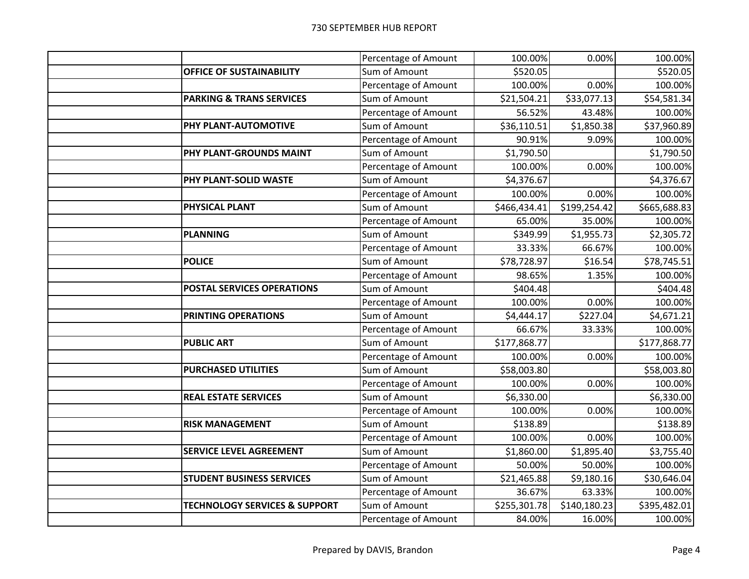|                                          | Percentage of Amount | 100.00%      | 0.00%        | 100.00%      |
|------------------------------------------|----------------------|--------------|--------------|--------------|
| OFFICE OF SUSTAINABILITY                 | Sum of Amount        | \$520.05     |              | \$520.05     |
|                                          | Percentage of Amount | 100.00%      | 0.00%        | 100.00%      |
| <b>PARKING &amp; TRANS SERVICES</b>      | Sum of Amount        | \$21,504.21  | \$33,077.13  | \$54,581.34  |
|                                          | Percentage of Amount | 56.52%       | 43.48%       | 100.00%      |
| PHY PLANT-AUTOMOTIVE                     | Sum of Amount        | \$36,110.51  | \$1,850.38   | \$37,960.89  |
|                                          | Percentage of Amount | 90.91%       | 9.09%        | 100.00%      |
| PHY PLANT-GROUNDS MAINT                  | Sum of Amount        | \$1,790.50   |              | \$1,790.50   |
|                                          | Percentage of Amount | 100.00%      | 0.00%        | 100.00%      |
| PHY PLANT-SOLID WASTE                    | Sum of Amount        | \$4,376.67   |              | \$4,376.67   |
|                                          | Percentage of Amount | 100.00%      | 0.00%        | 100.00%      |
| <b>PHYSICAL PLANT</b>                    | Sum of Amount        | \$466,434.41 | \$199,254.42 | \$665,688.83 |
|                                          | Percentage of Amount | 65.00%       | 35.00%       | 100.00%      |
| <b>PLANNING</b>                          | Sum of Amount        | \$349.99     | \$1,955.73   | \$2,305.72   |
|                                          | Percentage of Amount | 33.33%       | 66.67%       | 100.00%      |
| <b>POLICE</b>                            | Sum of Amount        | \$78,728.97  | \$16.54      | \$78,745.51  |
|                                          | Percentage of Amount | 98.65%       | 1.35%        | 100.00%      |
| POSTAL SERVICES OPERATIONS               | Sum of Amount        | \$404.48     |              | \$404.48     |
|                                          | Percentage of Amount | 100.00%      | 0.00%        | 100.00%      |
| PRINTING OPERATIONS                      | Sum of Amount        | \$4,444.17   | \$227.04     | \$4,671.21   |
|                                          | Percentage of Amount | 66.67%       | 33.33%       | 100.00%      |
| <b>PUBLIC ART</b>                        | Sum of Amount        | \$177,868.77 |              | \$177,868.77 |
|                                          | Percentage of Amount | 100.00%      | 0.00%        | 100.00%      |
| <b>PURCHASED UTILITIES</b>               | Sum of Amount        | \$58,003.80  |              | \$58,003.80  |
|                                          | Percentage of Amount | 100.00%      | 0.00%        | 100.00%      |
| <b>REAL ESTATE SERVICES</b>              | Sum of Amount        | \$6,330.00   |              | \$6,330.00   |
|                                          | Percentage of Amount | 100.00%      | 0.00%        | 100.00%      |
| <b>RISK MANAGEMENT</b>                   | Sum of Amount        | \$138.89     |              | \$138.89     |
|                                          | Percentage of Amount | 100.00%      | 0.00%        | 100.00%      |
| <b>SERVICE LEVEL AGREEMENT</b>           | Sum of Amount        | \$1,860.00   | \$1,895.40   | \$3,755.40   |
|                                          | Percentage of Amount | 50.00%       | 50.00%       | 100.00%      |
| <b>STUDENT BUSINESS SERVICES</b>         | Sum of Amount        | \$21,465.88  | \$9,180.16   | \$30,646.04  |
|                                          | Percentage of Amount | 36.67%       | 63.33%       | 100.00%      |
| <b>TECHNOLOGY SERVICES &amp; SUPPORT</b> | Sum of Amount        | \$255,301.78 | \$140,180.23 | \$395,482.01 |
|                                          | Percentage of Amount | 84.00%       | 16.00%       | 100.00%      |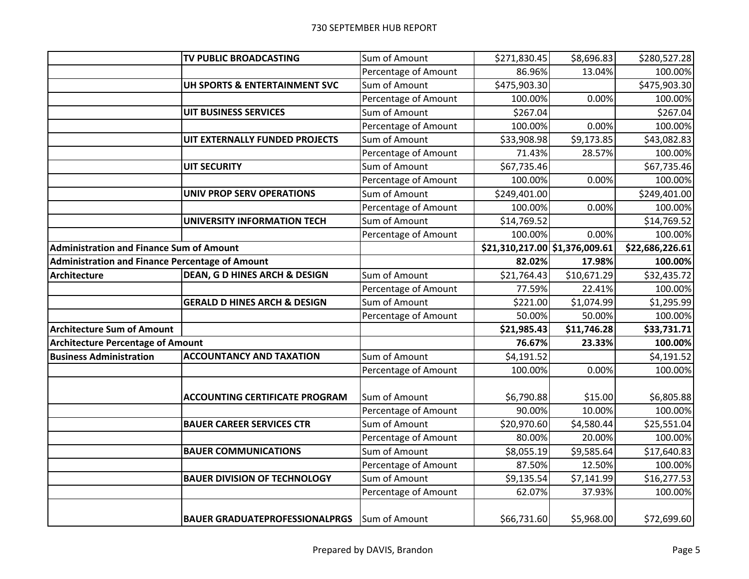|                                                        | TV PUBLIC BROADCASTING                   | Sum of Amount        | \$271,830.45                   | \$8,696.83  | \$280,527.28    |
|--------------------------------------------------------|------------------------------------------|----------------------|--------------------------------|-------------|-----------------|
|                                                        |                                          | Percentage of Amount | 86.96%                         | 13.04%      | 100.00%         |
|                                                        | UH SPORTS & ENTERTAINMENT SVC            | Sum of Amount        | \$475,903.30                   |             | \$475,903.30    |
|                                                        |                                          | Percentage of Amount | 100.00%                        | 0.00%       | 100.00%         |
|                                                        | UIT BUSINESS SERVICES                    | Sum of Amount        | \$267.04                       |             | \$267.04        |
|                                                        |                                          | Percentage of Amount | 100.00%                        | 0.00%       | 100.00%         |
|                                                        | UIT EXTERNALLY FUNDED PROJECTS           | Sum of Amount        | \$33,908.98                    | \$9,173.85  | \$43,082.83     |
|                                                        |                                          | Percentage of Amount | 71.43%                         | 28.57%      | 100.00%         |
|                                                        | <b>UIT SECURITY</b>                      | Sum of Amount        | \$67,735.46                    |             | \$67,735.46     |
|                                                        |                                          | Percentage of Amount | 100.00%                        | 0.00%       | 100.00%         |
|                                                        | UNIV PROP SERV OPERATIONS                | Sum of Amount        | \$249,401.00                   |             | \$249,401.00    |
|                                                        |                                          | Percentage of Amount | 100.00%                        | 0.00%       | 100.00%         |
|                                                        | UNIVERSITY INFORMATION TECH              | Sum of Amount        | \$14,769.52                    |             | \$14,769.52     |
|                                                        |                                          | Percentage of Amount | 100.00%                        | 0.00%       | 100.00%         |
| <b>Administration and Finance Sum of Amount</b>        |                                          |                      | \$21,310,217.00 \$1,376,009.61 |             | \$22,686,226.61 |
| <b>Administration and Finance Percentage of Amount</b> |                                          |                      | 82.02%                         | 17.98%      | 100.00%         |
| <b>Architecture</b>                                    | <b>DEAN, G D HINES ARCH &amp; DESIGN</b> | Sum of Amount        | \$21,764.43                    | \$10,671.29 | \$32,435.72     |
|                                                        |                                          | Percentage of Amount | 77.59%                         | 22.41%      | 100.00%         |
|                                                        | <b>GERALD D HINES ARCH &amp; DESIGN</b>  | Sum of Amount        | \$221.00                       | \$1,074.99  | \$1,295.99      |
|                                                        |                                          | Percentage of Amount | 50.00%                         | 50.00%      | 100.00%         |
| <b>Architecture Sum of Amount</b>                      |                                          |                      | \$21,985.43                    | \$11,746.28 | \$33,731.71     |
| <b>Architecture Percentage of Amount</b>               |                                          |                      | 76.67%                         | 23.33%      | 100.00%         |
| <b>Business Administration</b>                         | <b>ACCOUNTANCY AND TAXATION</b>          | Sum of Amount        | \$4,191.52                     |             | \$4,191.52      |
|                                                        |                                          | Percentage of Amount | 100.00%                        | 0.00%       | 100.00%         |
|                                                        |                                          |                      |                                |             |                 |
|                                                        | <b>ACCOUNTING CERTIFICATE PROGRAM</b>    | Sum of Amount        | \$6,790.88                     | \$15.00     | \$6,805.88      |
|                                                        |                                          | Percentage of Amount | 90.00%                         | 10.00%      | 100.00%         |
|                                                        | <b>BAUER CAREER SERVICES CTR</b>         | Sum of Amount        | \$20,970.60                    | \$4,580.44  | \$25,551.04     |
|                                                        |                                          | Percentage of Amount | 80.00%                         | 20.00%      | 100.00%         |
|                                                        | <b>BAUER COMMUNICATIONS</b>              | Sum of Amount        | \$8,055.19                     | \$9,585.64  | \$17,640.83     |
|                                                        |                                          | Percentage of Amount | 87.50%                         | 12.50%      | 100.00%         |
|                                                        | <b>BAUER DIVISION OF TECHNOLOGY</b>      | Sum of Amount        | \$9,135.54                     | \$7,141.99  | \$16,277.53     |
|                                                        |                                          | Percentage of Amount | 62.07%                         | 37.93%      | 100.00%         |
|                                                        | <b>BAUER GRADUATEPROFESSIONALPRGS</b>    | Sum of Amount        | \$66,731.60                    | \$5,968.00  | \$72,699.60     |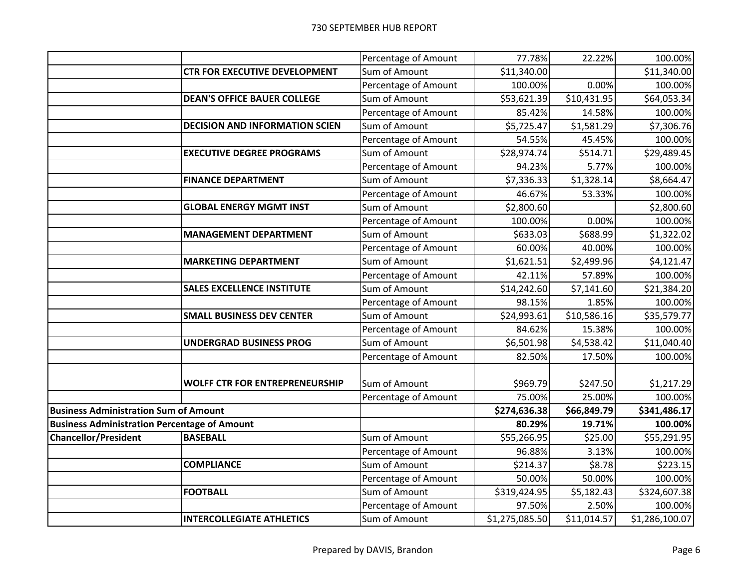|                                                     |                                       | Percentage of Amount | 77.78%         | 22.22%      | 100.00%        |
|-----------------------------------------------------|---------------------------------------|----------------------|----------------|-------------|----------------|
|                                                     | <b>CTR FOR EXECUTIVE DEVELOPMENT</b>  | Sum of Amount        | \$11,340.00    |             | \$11,340.00    |
|                                                     |                                       | Percentage of Amount | 100.00%        | 0.00%       | 100.00%        |
|                                                     | <b>DEAN'S OFFICE BAUER COLLEGE</b>    | Sum of Amount        | \$53,621.39    | \$10,431.95 | \$64,053.34    |
|                                                     |                                       | Percentage of Amount | 85.42%         | 14.58%      | 100.00%        |
|                                                     | <b>DECISION AND INFORMATION SCIEN</b> | Sum of Amount        | \$5,725.47     | \$1,581.29  | \$7,306.76     |
|                                                     |                                       | Percentage of Amount | 54.55%         | 45.45%      | 100.00%        |
|                                                     | <b>EXECUTIVE DEGREE PROGRAMS</b>      | Sum of Amount        | \$28,974.74    | \$514.71    | \$29,489.45    |
|                                                     |                                       | Percentage of Amount | 94.23%         | 5.77%       | 100.00%        |
|                                                     | <b>FINANCE DEPARTMENT</b>             | Sum of Amount        | \$7,336.33     | \$1,328.14  | \$8,664.47     |
|                                                     |                                       | Percentage of Amount | 46.67%         | 53.33%      | 100.00%        |
|                                                     | <b>GLOBAL ENERGY MGMT INST</b>        | Sum of Amount        | \$2,800.60     |             | \$2,800.60     |
|                                                     |                                       | Percentage of Amount | 100.00%        | 0.00%       | 100.00%        |
|                                                     | <b>MANAGEMENT DEPARTMENT</b>          | Sum of Amount        | \$633.03       | \$688.99    | \$1,322.02     |
|                                                     |                                       | Percentage of Amount | 60.00%         | 40.00%      | 100.00%        |
|                                                     | <b>MARKETING DEPARTMENT</b>           | Sum of Amount        | \$1,621.51     | \$2,499.96  | \$4,121.47     |
|                                                     |                                       | Percentage of Amount | 42.11%         | 57.89%      | 100.00%        |
|                                                     | <b>SALES EXCELLENCE INSTITUTE</b>     | Sum of Amount        | \$14,242.60    | \$7,141.60  | \$21,384.20    |
|                                                     |                                       | Percentage of Amount | 98.15%         | 1.85%       | 100.00%        |
|                                                     | <b>SMALL BUSINESS DEV CENTER</b>      | Sum of Amount        | \$24,993.61    | \$10,586.16 | \$35,579.77    |
|                                                     |                                       | Percentage of Amount | 84.62%         | 15.38%      | 100.00%        |
|                                                     | <b>UNDERGRAD BUSINESS PROG</b>        | Sum of Amount        | \$6,501.98     | \$4,538.42  | \$11,040.40    |
|                                                     |                                       | Percentage of Amount | 82.50%         | 17.50%      | 100.00%        |
|                                                     |                                       |                      |                |             |                |
|                                                     | <b>WOLFF CTR FOR ENTREPRENEURSHIP</b> | Sum of Amount        | \$969.79       | \$247.50    | \$1,217.29     |
|                                                     |                                       | Percentage of Amount | 75.00%         | 25.00%      | 100.00%        |
| <b>Business Administration Sum of Amount</b>        |                                       |                      | \$274,636.38   | \$66,849.79 | \$341,486.17   |
| <b>Business Administration Percentage of Amount</b> |                                       |                      | 80.29%         | 19.71%      | 100.00%        |
| <b>Chancellor/President</b>                         | <b>BASEBALL</b>                       | Sum of Amount        | \$55,266.95    | \$25.00     | \$55,291.95    |
|                                                     |                                       | Percentage of Amount | 96.88%         | 3.13%       | 100.00%        |
|                                                     | <b>COMPLIANCE</b>                     | Sum of Amount        | \$214.37       | \$8.78      | \$223.15       |
|                                                     |                                       | Percentage of Amount | 50.00%         | 50.00%      | 100.00%        |
|                                                     | <b>FOOTBALL</b>                       | Sum of Amount        | \$319,424.95   | \$5,182.43  | \$324,607.38   |
|                                                     |                                       | Percentage of Amount | 97.50%         | 2.50%       | 100.00%        |
|                                                     | <b>INTERCOLLEGIATE ATHLETICS</b>      | Sum of Amount        | \$1,275,085.50 | \$11,014.57 | \$1,286,100.07 |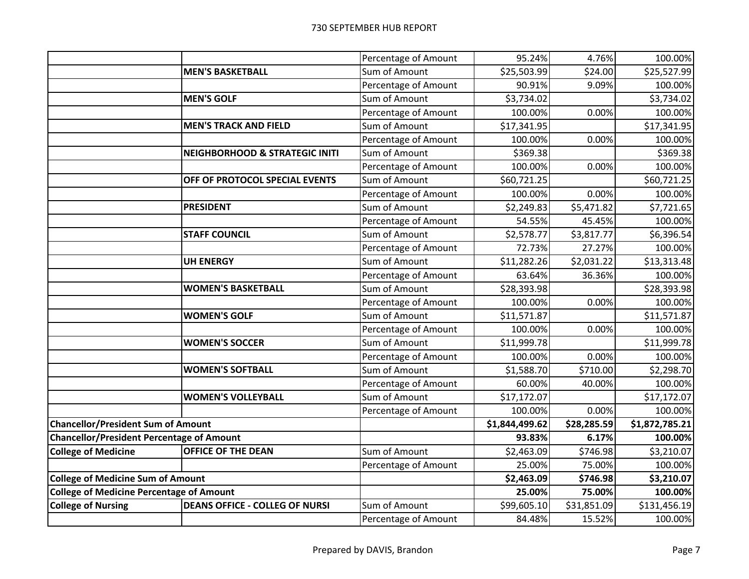|                                                  |                                           | Percentage of Amount | 95.24%         | 4.76%       | 100.00%        |
|--------------------------------------------------|-------------------------------------------|----------------------|----------------|-------------|----------------|
|                                                  | <b>MEN'S BASKETBALL</b>                   | Sum of Amount        | \$25,503.99    | \$24.00     | \$25,527.99    |
|                                                  |                                           | Percentage of Amount | 90.91%         | 9.09%       | 100.00%        |
|                                                  | <b>MEN'S GOLF</b>                         | Sum of Amount        | \$3,734.02     |             | \$3,734.02     |
|                                                  |                                           | Percentage of Amount | 100.00%        | 0.00%       | 100.00%        |
|                                                  | <b>MEN'S TRACK AND FIELD</b>              | Sum of Amount        | \$17,341.95    |             | \$17,341.95    |
|                                                  |                                           | Percentage of Amount | 100.00%        | 0.00%       | 100.00%        |
|                                                  | <b>NEIGHBORHOOD &amp; STRATEGIC INITI</b> | Sum of Amount        | \$369.38       |             | \$369.38       |
|                                                  |                                           | Percentage of Amount | 100.00%        | 0.00%       | 100.00%        |
|                                                  | OFF OF PROTOCOL SPECIAL EVENTS            | Sum of Amount        | \$60,721.25    |             | \$60,721.25    |
|                                                  |                                           | Percentage of Amount | 100.00%        | 0.00%       | 100.00%        |
|                                                  | <b>PRESIDENT</b>                          | Sum of Amount        | \$2,249.83     | \$5,471.82  | \$7,721.65     |
|                                                  |                                           | Percentage of Amount | 54.55%         | 45.45%      | 100.00%        |
|                                                  | <b>STAFF COUNCIL</b>                      | Sum of Amount        | \$2,578.77     | \$3,817.77  | \$6,396.54     |
|                                                  |                                           | Percentage of Amount | 72.73%         | 27.27%      | 100.00%        |
|                                                  | <b>UH ENERGY</b>                          | Sum of Amount        | \$11,282.26    | \$2,031.22  | \$13,313.48    |
|                                                  |                                           | Percentage of Amount | 63.64%         | 36.36%      | 100.00%        |
|                                                  | <b>WOMEN'S BASKETBALL</b>                 | Sum of Amount        | \$28,393.98    |             | \$28,393.98    |
|                                                  |                                           | Percentage of Amount | 100.00%        | 0.00%       | 100.00%        |
|                                                  | <b>WOMEN'S GOLF</b>                       | Sum of Amount        | \$11,571.87    |             | \$11,571.87    |
|                                                  |                                           | Percentage of Amount | 100.00%        | 0.00%       | 100.00%        |
|                                                  | <b>WOMEN'S SOCCER</b>                     | Sum of Amount        | \$11,999.78    |             | \$11,999.78    |
|                                                  |                                           | Percentage of Amount | 100.00%        | 0.00%       | 100.00%        |
|                                                  | <b>WOMEN'S SOFTBALL</b>                   | Sum of Amount        | \$1,588.70     | \$710.00    | \$2,298.70     |
|                                                  |                                           | Percentage of Amount | 60.00%         | 40.00%      | 100.00%        |
|                                                  | <b>WOMEN'S VOLLEYBALL</b>                 | Sum of Amount        | \$17,172.07    |             | \$17,172.07    |
|                                                  |                                           | Percentage of Amount | 100.00%        | 0.00%       | 100.00%        |
| <b>Chancellor/President Sum of Amount</b>        |                                           |                      | \$1,844,499.62 | \$28,285.59 | \$1,872,785.21 |
| <b>Chancellor/President Percentage of Amount</b> |                                           |                      | 93.83%         | 6.17%       | 100.00%        |
| <b>College of Medicine</b>                       | <b>OFFICE OF THE DEAN</b>                 | Sum of Amount        | \$2,463.09     | \$746.98    | \$3,210.07     |
|                                                  |                                           | Percentage of Amount | 25.00%         | 75.00%      | 100.00%        |
| <b>College of Medicine Sum of Amount</b>         |                                           |                      | \$2,463.09     | \$746.98    | \$3,210.07     |
| <b>College of Medicine Percentage of Amount</b>  |                                           |                      | 25.00%         | 75.00%      | 100.00%        |
| <b>College of Nursing</b>                        | <b>DEANS OFFICE - COLLEG OF NURSI</b>     | Sum of Amount        | \$99,605.10    | \$31,851.09 | \$131,456.19   |
|                                                  |                                           | Percentage of Amount | 84.48%         | 15.52%      | 100.00%        |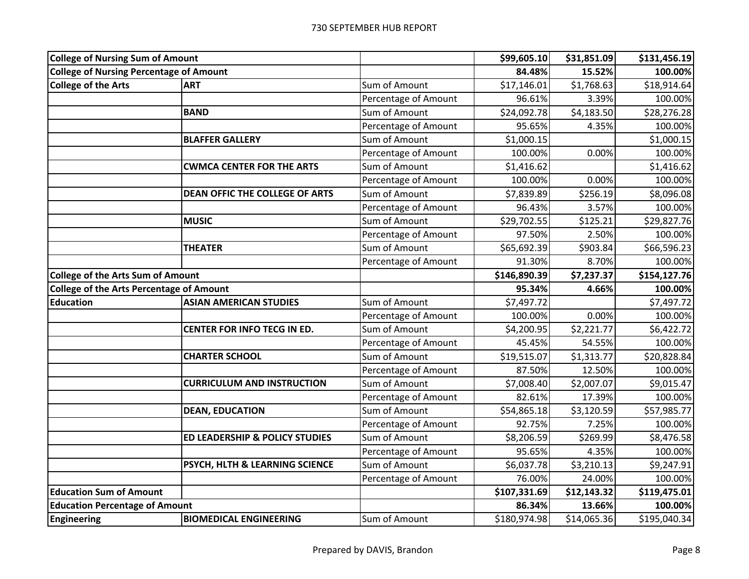| <b>College of Nursing Sum of Amount</b>         |                                       |                      | \$99,605.10  | \$31,851.09 | \$131,456.19 |
|-------------------------------------------------|---------------------------------------|----------------------|--------------|-------------|--------------|
| <b>College of Nursing Percentage of Amount</b>  |                                       |                      | 84.48%       | 15.52%      | 100.00%      |
| <b>College of the Arts</b>                      | <b>ART</b>                            | Sum of Amount        | \$17,146.01  | \$1,768.63  | \$18,914.64  |
|                                                 |                                       | Percentage of Amount | 96.61%       | 3.39%       | 100.00%      |
|                                                 | <b>BAND</b>                           | Sum of Amount        | \$24,092.78  | \$4,183.50  | \$28,276.28  |
|                                                 |                                       | Percentage of Amount | 95.65%       | 4.35%       | 100.00%      |
|                                                 | <b>BLAFFER GALLERY</b>                | Sum of Amount        | \$1,000.15   |             | \$1,000.15   |
|                                                 |                                       | Percentage of Amount | 100.00%      | 0.00%       | 100.00%      |
|                                                 | <b>CWMCA CENTER FOR THE ARTS</b>      | Sum of Amount        | \$1,416.62   |             | \$1,416.62   |
|                                                 |                                       | Percentage of Amount | 100.00%      | 0.00%       | 100.00%      |
|                                                 | <b>DEAN OFFIC THE COLLEGE OF ARTS</b> | Sum of Amount        | \$7,839.89   | \$256.19    | \$8,096.08   |
|                                                 |                                       | Percentage of Amount | 96.43%       | 3.57%       | 100.00%      |
|                                                 | <b>MUSIC</b>                          | Sum of Amount        | \$29,702.55  | \$125.21    | \$29,827.76  |
|                                                 |                                       | Percentage of Amount | 97.50%       | 2.50%       | 100.00%      |
|                                                 | <b>THEATER</b>                        | Sum of Amount        | \$65,692.39  | \$903.84    | \$66,596.23  |
|                                                 |                                       | Percentage of Amount | 91.30%       | 8.70%       | 100.00%      |
| <b>College of the Arts Sum of Amount</b>        |                                       |                      | \$146,890.39 | \$7,237.37  | \$154,127.76 |
| <b>College of the Arts Percentage of Amount</b> |                                       |                      | 95.34%       | 4.66%       | 100.00%      |
| <b>Education</b>                                | <b>ASIAN AMERICAN STUDIES</b>         | Sum of Amount        | \$7,497.72   |             | \$7,497.72   |
|                                                 |                                       | Percentage of Amount | 100.00%      | 0.00%       | 100.00%      |
|                                                 | CENTER FOR INFO TECG IN ED.           | Sum of Amount        | \$4,200.95   | \$2,221.77  | \$6,422.72   |
|                                                 |                                       | Percentage of Amount | 45.45%       | 54.55%      | 100.00%      |
|                                                 | <b>CHARTER SCHOOL</b>                 | Sum of Amount        | \$19,515.07  | \$1,313.77  | \$20,828.84  |
|                                                 |                                       | Percentage of Amount | 87.50%       | 12.50%      | 100.00%      |
|                                                 | <b>CURRICULUM AND INSTRUCTION</b>     | Sum of Amount        | \$7,008.40   | \$2,007.07  | \$9,015.47   |
|                                                 |                                       | Percentage of Amount | 82.61%       | 17.39%      | 100.00%      |
|                                                 | <b>DEAN, EDUCATION</b>                | Sum of Amount        | \$54,865.18  | \$3,120.59  | \$57,985.77  |
|                                                 |                                       | Percentage of Amount | 92.75%       | 7.25%       | 100.00%      |
|                                                 | ED LEADERSHIP & POLICY STUDIES        | Sum of Amount        | \$8,206.59   | \$269.99    | \$8,476.58   |
|                                                 |                                       | Percentage of Amount | 95.65%       | 4.35%       | 100.00%      |
|                                                 | PSYCH, HLTH & LEARNING SCIENCE        | Sum of Amount        | \$6,037.78   | \$3,210.13  | \$9,247.91   |
|                                                 |                                       | Percentage of Amount | 76.00%       | 24.00%      | 100.00%      |
| <b>Education Sum of Amount</b>                  |                                       |                      | \$107,331.69 | \$12,143.32 | \$119,475.01 |
| <b>Education Percentage of Amount</b>           |                                       |                      | 86.34%       | 13.66%      | 100.00%      |
| <b>Engineering</b>                              | <b>BIOMEDICAL ENGINEERING</b>         | Sum of Amount        | \$180,974.98 | \$14,065.36 | \$195,040.34 |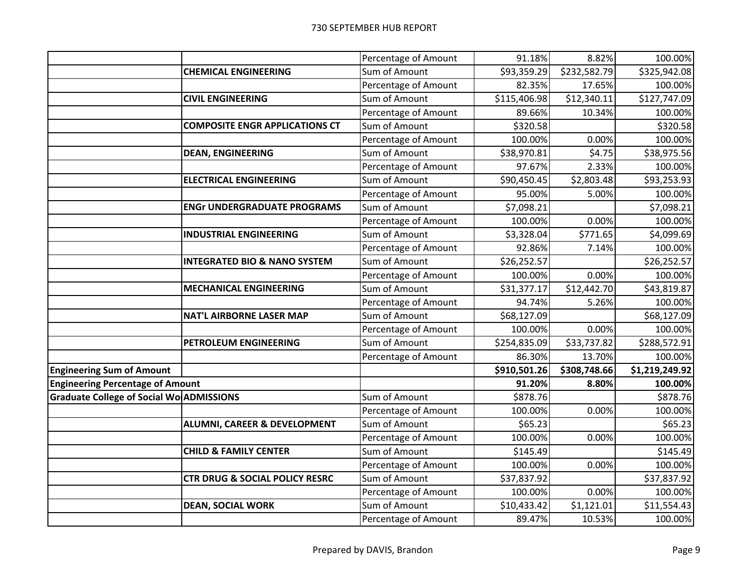|                                          |                                           | Percentage of Amount | 91.18%       | 8.82%                | 100.00%        |
|------------------------------------------|-------------------------------------------|----------------------|--------------|----------------------|----------------|
|                                          | <b>CHEMICAL ENGINEERING</b>               | Sum of Amount        | \$93,359.29  | \$232,582.79         | \$325,942.08   |
|                                          |                                           | Percentage of Amount | 82.35%       | 17.65%               | 100.00%        |
|                                          | <b>CIVIL ENGINEERING</b>                  | Sum of Amount        | \$115,406.98 | \$12,340.11          | \$127,747.09   |
|                                          |                                           | Percentage of Amount | 89.66%       | 10.34%               | 100.00%        |
|                                          | <b>COMPOSITE ENGR APPLICATIONS CT</b>     | Sum of Amount        | \$320.58     |                      | \$320.58       |
|                                          |                                           | Percentage of Amount | 100.00%      | 0.00%                | 100.00%        |
|                                          | <b>DEAN, ENGINEERING</b>                  | Sum of Amount        | \$38,970.81  | \$4.75               | \$38,975.56    |
|                                          |                                           | Percentage of Amount | 97.67%       | 2.33%                | 100.00%        |
|                                          | <b>ELECTRICAL ENGINEERING</b>             | Sum of Amount        | \$90,450.45  | \$2,803.48           | \$93,253.93    |
|                                          |                                           | Percentage of Amount | 95.00%       | 5.00%                | 100.00%        |
|                                          | <b>ENGr UNDERGRADUATE PROGRAMS</b>        | Sum of Amount        | \$7,098.21   |                      | \$7,098.21     |
|                                          |                                           | Percentage of Amount | 100.00%      | 0.00%                | 100.00%        |
|                                          | <b>INDUSTRIAL ENGINEERING</b>             | Sum of Amount        | \$3,328.04   | $\overline{$}771.65$ | \$4,099.69     |
|                                          |                                           | Percentage of Amount | 92.86%       | 7.14%                | 100.00%        |
|                                          | <b>INTEGRATED BIO &amp; NANO SYSTEM</b>   | Sum of Amount        | \$26,252.57  |                      | \$26,252.57    |
|                                          |                                           | Percentage of Amount | 100.00%      | 0.00%                | 100.00%        |
|                                          | <b>MECHANICAL ENGINEERING</b>             | Sum of Amount        | \$31,377.17  | \$12,442.70          | \$43,819.87    |
|                                          |                                           | Percentage of Amount | 94.74%       | 5.26%                | 100.00%        |
|                                          | <b>NAT'L AIRBORNE LASER MAP</b>           | Sum of Amount        | \$68,127.09  |                      | \$68,127.09    |
|                                          |                                           | Percentage of Amount | 100.00%      | 0.00%                | 100.00%        |
|                                          | PETROLEUM ENGINEERING                     | Sum of Amount        | \$254,835.09 | \$33,737.82          | \$288,572.91   |
|                                          |                                           | Percentage of Amount | 86.30%       | 13.70%               | 100.00%        |
| <b>Engineering Sum of Amount</b>         |                                           |                      | \$910,501.26 | \$308,748.66         | \$1,219,249.92 |
| <b>Engineering Percentage of Amount</b>  |                                           |                      | 91.20%       | 8.80%                | 100.00%        |
| Graduate College of Social Wo ADMISSIONS |                                           | Sum of Amount        | \$878.76     |                      | \$878.76       |
|                                          |                                           | Percentage of Amount | 100.00%      | 0.00%                | 100.00%        |
|                                          | <b>ALUMNI, CAREER &amp; DEVELOPMENT</b>   | Sum of Amount        | \$65.23      |                      | \$65.23        |
|                                          |                                           | Percentage of Amount | 100.00%      | 0.00%                | 100.00%        |
|                                          | <b>CHILD &amp; FAMILY CENTER</b>          | Sum of Amount        | \$145.49     |                      | \$145.49       |
|                                          |                                           | Percentage of Amount | 100.00%      | 0.00%                | 100.00%        |
|                                          | <b>CTR DRUG &amp; SOCIAL POLICY RESRC</b> | Sum of Amount        | \$37,837.92  |                      | \$37,837.92    |
|                                          |                                           | Percentage of Amount | 100.00%      | 0.00%                | 100.00%        |
|                                          | <b>DEAN, SOCIAL WORK</b>                  | Sum of Amount        | \$10,433.42  | \$1,121.01           | \$11,554.43    |
|                                          |                                           | Percentage of Amount | 89.47%       | 10.53%               | 100.00%        |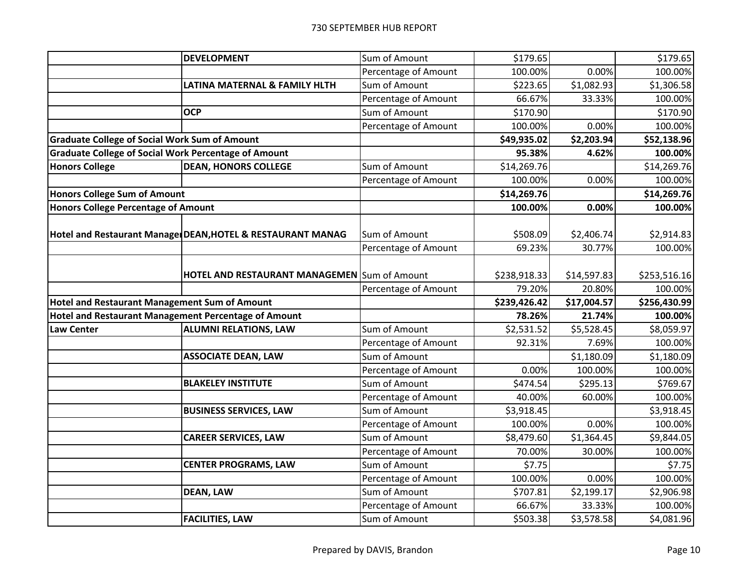|                                                             | <b>DEVELOPMENT</b>                                         | Sum of Amount                         | \$179.65           |                        | \$179.65              |
|-------------------------------------------------------------|------------------------------------------------------------|---------------------------------------|--------------------|------------------------|-----------------------|
|                                                             |                                                            | Percentage of Amount                  | 100.00%            | 0.00%                  | 100.00%               |
|                                                             | LATINA MATERNAL & FAMILY HLTH                              | Sum of Amount                         | \$223.65           | \$1,082.93             | \$1,306.58            |
|                                                             |                                                            | Percentage of Amount                  | 66.67%             | 33.33%                 | 100.00%               |
|                                                             | <b>OCP</b>                                                 | Sum of Amount                         | \$170.90           |                        | \$170.90              |
|                                                             |                                                            | Percentage of Amount                  | 100.00%            | 0.00%                  | 100.00%               |
| <b>Graduate College of Social Work Sum of Amount</b>        |                                                            |                                       | \$49,935.02        | $\overline{$}2,203.94$ | \$52,138.96           |
| <b>Graduate College of Social Work Percentage of Amount</b> |                                                            |                                       | 95.38%             | 4.62%                  | 100.00%               |
| <b>Honors College</b>                                       | <b>DEAN, HONORS COLLEGE</b>                                | Sum of Amount                         | \$14,269.76        |                        | \$14,269.76           |
|                                                             |                                                            | Percentage of Amount                  | 100.00%            | 0.00%                  | 100.00%               |
| <b>Honors College Sum of Amount</b>                         |                                                            |                                       | \$14,269.76        |                        | \$14,269.76           |
| <b>Honors College Percentage of Amount</b>                  |                                                            |                                       | 100.00%            | 0.00%                  | 100.00%               |
|                                                             |                                                            |                                       |                    |                        |                       |
|                                                             | Hotel and Restaurant Manage DEAN, HOTEL & RESTAURANT MANAG | Sum of Amount                         | \$508.09           | \$2,406.74             | \$2,914.83            |
|                                                             |                                                            | Percentage of Amount                  | 69.23%             | 30.77%                 | 100.00%               |
|                                                             |                                                            |                                       |                    |                        |                       |
|                                                             | <b>HOTEL AND RESTAURANT MANAGEMEN Sum of Amount</b>        |                                       | \$238,918.33       | \$14,597.83            | \$253,516.16          |
|                                                             |                                                            | Percentage of Amount                  | 79.20%             | 20.80%                 | 100.00%               |
|                                                             |                                                            |                                       |                    |                        |                       |
| <b>Hotel and Restaurant Management Sum of Amount</b>        |                                                            |                                       | \$239,426.42       | \$17,004.57            | \$256,430.99          |
| Hotel and Restaurant Management Percentage of Amount        |                                                            |                                       | 78.26%             | 21.74%                 | 100.00%               |
| <b>Law Center</b>                                           | <b>ALUMNI RELATIONS, LAW</b>                               | Sum of Amount                         | \$2,531.52         | \$5,528.45             | \$8,059.97            |
|                                                             |                                                            | Percentage of Amount                  | 92.31%             | 7.69%                  | 100.00%               |
|                                                             | <b>ASSOCIATE DEAN, LAW</b>                                 | Sum of Amount                         |                    | \$1,180.09             | \$1,180.09            |
|                                                             |                                                            | Percentage of Amount                  | 0.00%              | 100.00%                | 100.00%               |
|                                                             | <b>BLAKELEY INSTITUTE</b>                                  | Sum of Amount                         | \$474.54           | \$295.13               | \$769.67              |
|                                                             |                                                            | Percentage of Amount                  | 40.00%             | 60.00%                 | 100.00%               |
|                                                             | <b>BUSINESS SERVICES, LAW</b>                              | Sum of Amount                         | \$3,918.45         |                        | \$3,918.45            |
|                                                             |                                                            | Percentage of Amount                  | 100.00%            | 0.00%                  | 100.00%               |
|                                                             | <b>CAREER SERVICES, LAW</b>                                | Sum of Amount                         | \$8,479.60         | \$1,364.45             | \$9,844.05            |
|                                                             |                                                            | Percentage of Amount                  | 70.00%             | 30.00%                 | 100.00%               |
|                                                             | <b>CENTER PROGRAMS, LAW</b>                                | Sum of Amount                         | \$7.75             |                        | \$7.75                |
|                                                             |                                                            | Percentage of Amount                  | 100.00%            | 0.00%                  | 100.00%               |
|                                                             | <b>DEAN, LAW</b>                                           | Sum of Amount                         | \$707.81           | \$2,199.17             | \$2,906.98            |
|                                                             |                                                            | Percentage of Amount<br>Sum of Amount | 66.67%<br>\$503.38 | 33.33%<br>\$3,578.58   | 100.00%<br>\$4,081.96 |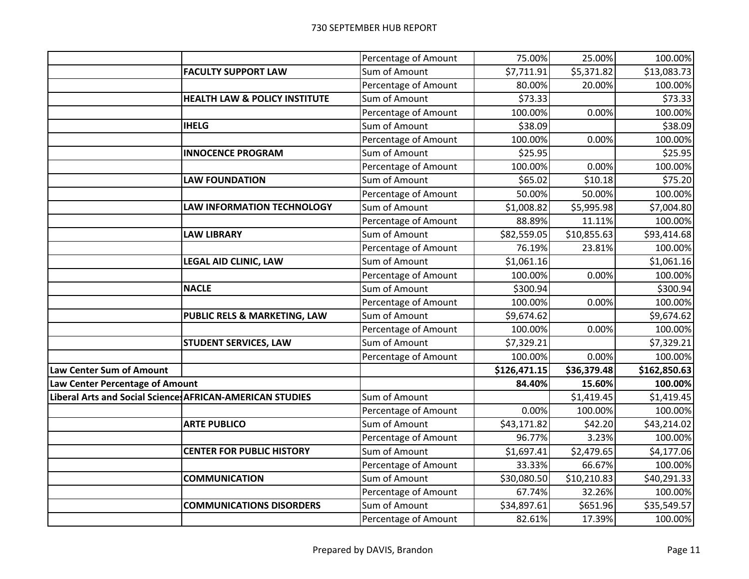|                                 |                                                          | Percentage of Amount | 75.00%       | 25.00%      | 100.00%      |
|---------------------------------|----------------------------------------------------------|----------------------|--------------|-------------|--------------|
|                                 | <b>FACULTY SUPPORT LAW</b>                               | Sum of Amount        | \$7,711.91   | \$5,371.82  | \$13,083.73  |
|                                 |                                                          | Percentage of Amount | 80.00%       | 20.00%      | 100.00%      |
|                                 | <b>HEALTH LAW &amp; POLICY INSTITUTE</b>                 | Sum of Amount        | \$73.33      |             | \$73.33      |
|                                 |                                                          | Percentage of Amount | 100.00%      | 0.00%       | 100.00%      |
|                                 | <b>IHELG</b>                                             | Sum of Amount        | \$38.09      |             | \$38.09      |
|                                 |                                                          | Percentage of Amount | 100.00%      | 0.00%       | 100.00%      |
|                                 | <b>INNOCENCE PROGRAM</b>                                 | Sum of Amount        | \$25.95      |             | \$25.95      |
|                                 |                                                          | Percentage of Amount | 100.00%      | 0.00%       | 100.00%      |
|                                 | <b>LAW FOUNDATION</b>                                    | Sum of Amount        | \$65.02      | \$10.18     | \$75.20      |
|                                 |                                                          | Percentage of Amount | 50.00%       | 50.00%      | 100.00%      |
|                                 | <b>LAW INFORMATION TECHNOLOGY</b>                        | Sum of Amount        | \$1,008.82   | \$5,995.98  | \$7,004.80   |
|                                 |                                                          | Percentage of Amount | 88.89%       | 11.11%      | 100.00%      |
|                                 | <b>LAW LIBRARY</b>                                       | Sum of Amount        | \$82,559.05  | \$10,855.63 | \$93,414.68  |
|                                 |                                                          | Percentage of Amount | 76.19%       | 23.81%      | 100.00%      |
|                                 | <b>LEGAL AID CLINIC, LAW</b>                             | Sum of Amount        | \$1,061.16   |             | \$1,061.16   |
|                                 |                                                          | Percentage of Amount | 100.00%      | 0.00%       | 100.00%      |
|                                 | <b>NACLE</b>                                             | Sum of Amount        | \$300.94     |             | \$300.94     |
|                                 |                                                          | Percentage of Amount | 100.00%      | 0.00%       | 100.00%      |
|                                 | PUBLIC RELS & MARKETING, LAW                             | Sum of Amount        | \$9,674.62   |             | \$9,674.62   |
|                                 |                                                          | Percentage of Amount | 100.00%      | 0.00%       | 100.00%      |
|                                 | <b>STUDENT SERVICES, LAW</b>                             | Sum of Amount        | \$7,329.21   |             | \$7,329.21   |
|                                 |                                                          | Percentage of Amount | 100.00%      | 0.00%       | 100.00%      |
| <b>Law Center Sum of Amount</b> |                                                          |                      | \$126,471.15 | \$36,379.48 | \$162,850.63 |
| Law Center Percentage of Amount |                                                          |                      | 84.40%       | 15.60%      | 100.00%      |
|                                 | Liberal Arts and Social Science AFRICAN-AMERICAN STUDIES | Sum of Amount        |              | \$1,419.45  | \$1,419.45   |
|                                 |                                                          | Percentage of Amount | 0.00%        | 100.00%     | 100.00%      |
|                                 | <b>ARTE PUBLICO</b>                                      | Sum of Amount        | \$43,171.82  | \$42.20     | \$43,214.02  |
|                                 |                                                          | Percentage of Amount | 96.77%       | 3.23%       | 100.00%      |
|                                 | <b>CENTER FOR PUBLIC HISTORY</b>                         | Sum of Amount        | \$1,697.41   | \$2,479.65  | \$4,177.06   |
|                                 |                                                          | Percentage of Amount | 33.33%       | 66.67%      | 100.00%      |
|                                 | <b>COMMUNICATION</b>                                     | Sum of Amount        | \$30,080.50  | \$10,210.83 | \$40,291.33  |
|                                 |                                                          | Percentage of Amount | 67.74%       | 32.26%      | 100.00%      |
|                                 | <b>COMMUNICATIONS DISORDERS</b>                          | Sum of Amount        | \$34,897.61  | \$651.96    | \$35,549.57  |
|                                 |                                                          | Percentage of Amount | 82.61%       | 17.39%      | 100.00%      |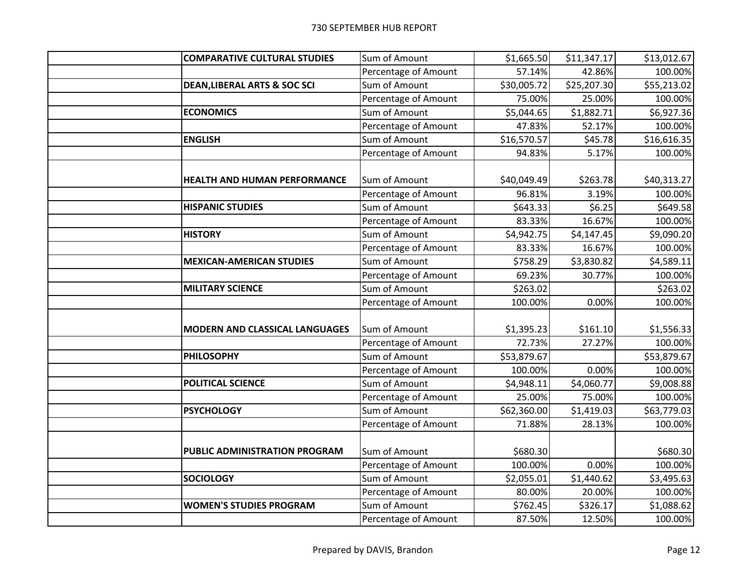| <b>COMPARATIVE CULTURAL STUDIES</b>     | Sum of Amount        | \$1,665.50  | \$11,347.17 | \$13,012.67 |
|-----------------------------------------|----------------------|-------------|-------------|-------------|
|                                         | Percentage of Amount | 57.14%      | 42.86%      | 100.00%     |
| <b>DEAN, LIBERAL ARTS &amp; SOC SCI</b> | Sum of Amount        | \$30,005.72 | \$25,207.30 | \$55,213.02 |
|                                         | Percentage of Amount | 75.00%      | 25.00%      | 100.00%     |
| <b>ECONOMICS</b>                        | Sum of Amount        | \$5,044.65  | \$1,882.71  | \$6,927.36  |
|                                         | Percentage of Amount | 47.83%      | 52.17%      | 100.00%     |
| <b>ENGLISH</b>                          | Sum of Amount        | \$16,570.57 | \$45.78     | \$16,616.35 |
|                                         | Percentage of Amount | 94.83%      | 5.17%       | 100.00%     |
|                                         |                      |             |             |             |
| <b>HEALTH AND HUMAN PERFORMANCE</b>     | Sum of Amount        | \$40,049.49 | \$263.78    | \$40,313.27 |
|                                         | Percentage of Amount | 96.81%      | 3.19%       | 100.00%     |
| <b>HISPANIC STUDIES</b>                 | Sum of Amount        | \$643.33    | \$6.25      | \$649.58    |
|                                         | Percentage of Amount | 83.33%      | 16.67%      | 100.00%     |
| <b>HISTORY</b>                          | Sum of Amount        | \$4,942.75  | \$4,147.45  | \$9,090.20  |
|                                         | Percentage of Amount | 83.33%      | 16.67%      | 100.00%     |
| <b>MEXICAN-AMERICAN STUDIES</b>         | Sum of Amount        | \$758.29    | \$3,830.82  | \$4,589.11  |
|                                         | Percentage of Amount | 69.23%      | 30.77%      | 100.00%     |
| <b>MILITARY SCIENCE</b>                 | Sum of Amount        | \$263.02    |             | \$263.02    |
|                                         | Percentage of Amount | 100.00%     | 0.00%       | 100.00%     |
|                                         |                      |             |             |             |
| <b>MODERN AND CLASSICAL LANGUAGES</b>   | Sum of Amount        | \$1,395.23  | \$161.10    | \$1,556.33  |
|                                         | Percentage of Amount | 72.73%      | 27.27%      | 100.00%     |
| <b>PHILOSOPHY</b>                       | Sum of Amount        | \$53,879.67 |             | \$53,879.67 |
|                                         | Percentage of Amount | 100.00%     | 0.00%       | 100.00%     |
| <b>POLITICAL SCIENCE</b>                | Sum of Amount        | \$4,948.11  | \$4,060.77  | \$9,008.88  |
|                                         | Percentage of Amount | 25.00%      | 75.00%      | 100.00%     |
| <b>PSYCHOLOGY</b>                       | Sum of Amount        | \$62,360.00 | \$1,419.03  | \$63,779.03 |
|                                         | Percentage of Amount | 71.88%      | 28.13%      | 100.00%     |
|                                         |                      |             |             |             |
| PUBLIC ADMINISTRATION PROGRAM           | Sum of Amount        | \$680.30    |             | \$680.30    |
|                                         | Percentage of Amount | 100.00%     | 0.00%       | 100.00%     |
| <b>SOCIOLOGY</b>                        | Sum of Amount        | \$2,055.01  | \$1,440.62  | \$3,495.63  |
|                                         | Percentage of Amount | 80.00%      | 20.00%      | 100.00%     |
| <b>WOMEN'S STUDIES PROGRAM</b>          | Sum of Amount        | \$762.45    | \$326.17    | \$1,088.62  |
|                                         | Percentage of Amount | 87.50%      | 12.50%      | 100.00%     |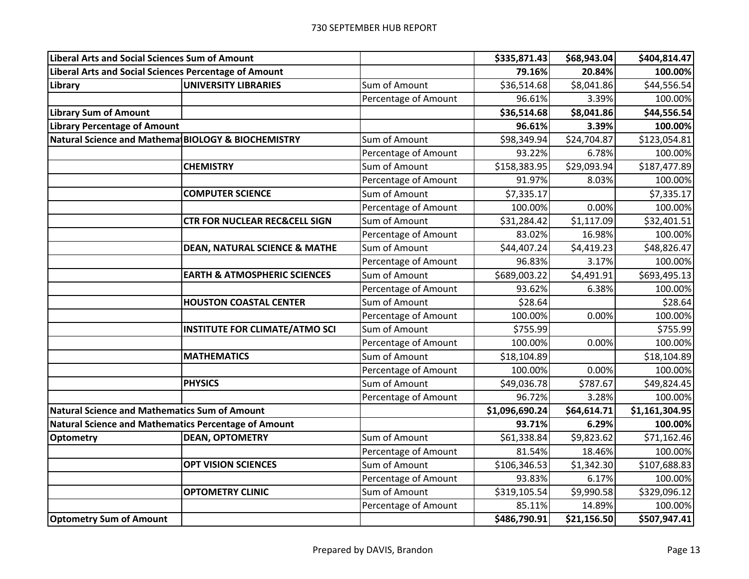| <b>Liberal Arts and Social Sciences Sum of Amount</b> |                                          |                      | \$335,871.43   | \$68,943.04 | \$404,814.47   |
|-------------------------------------------------------|------------------------------------------|----------------------|----------------|-------------|----------------|
| Liberal Arts and Social Sciences Percentage of Amount |                                          |                      | 79.16%         | 20.84%      | 100.00%        |
| Library                                               | UNIVERSITY LIBRARIES                     | Sum of Amount        | \$36,514.68    | \$8,041.86  | \$44,556.54    |
|                                                       |                                          | Percentage of Amount | 96.61%         | 3.39%       | 100.00%        |
| <b>Library Sum of Amount</b>                          |                                          |                      | \$36,514.68    | \$8,041.86  | \$44,556.54    |
| <b>Library Percentage of Amount</b>                   |                                          |                      | 96.61%         | 3.39%       | 100.00%        |
| Natural Science and MathematBIOLOGY & BIOCHEMISTRY    |                                          | Sum of Amount        | \$98,349.94    | \$24,704.87 | \$123,054.81   |
|                                                       |                                          | Percentage of Amount | 93.22%         | 6.78%       | 100.00%        |
|                                                       | <b>CHEMISTRY</b>                         | Sum of Amount        | \$158,383.95   | \$29,093.94 | \$187,477.89   |
|                                                       |                                          | Percentage of Amount | 91.97%         | 8.03%       | 100.00%        |
|                                                       | <b>COMPUTER SCIENCE</b>                  | Sum of Amount        | \$7,335.17     |             | \$7,335.17     |
|                                                       |                                          | Percentage of Amount | 100.00%        | 0.00%       | 100.00%        |
|                                                       | <b>CTR FOR NUCLEAR REC&amp;CELL SIGN</b> | Sum of Amount        | \$31,284.42    | \$1,117.09  | \$32,401.51    |
|                                                       |                                          | Percentage of Amount | 83.02%         | 16.98%      | 100.00%        |
|                                                       | <b>DEAN, NATURAL SCIENCE &amp; MATHE</b> | Sum of Amount        | \$44,407.24    | \$4,419.23  | \$48,826.47    |
|                                                       |                                          | Percentage of Amount | 96.83%         | 3.17%       | 100.00%        |
|                                                       | <b>EARTH &amp; ATMOSPHERIC SCIENCES</b>  | Sum of Amount        | \$689,003.22   | \$4,491.91  | \$693,495.13   |
|                                                       |                                          | Percentage of Amount | 93.62%         | 6.38%       | 100.00%        |
|                                                       | <b>HOUSTON COASTAL CENTER</b>            | Sum of Amount        | \$28.64        |             | \$28.64        |
|                                                       |                                          | Percentage of Amount | 100.00%        | 0.00%       | 100.00%        |
|                                                       | INSTITUTE FOR CLIMATE/ATMO SCI           | Sum of Amount        | \$755.99       |             | \$755.99       |
|                                                       |                                          | Percentage of Amount | 100.00%        | 0.00%       | 100.00%        |
|                                                       | <b>MATHEMATICS</b>                       | Sum of Amount        | \$18,104.89    |             | \$18,104.89    |
|                                                       |                                          | Percentage of Amount | 100.00%        | 0.00%       | 100.00%        |
|                                                       | <b>PHYSICS</b>                           | Sum of Amount        | \$49,036.78    | \$787.67    | \$49,824.45    |
|                                                       |                                          | Percentage of Amount | 96.72%         | 3.28%       | 100.00%        |
| <b>Natural Science and Mathematics Sum of Amount</b>  |                                          |                      | \$1,096,690.24 | \$64,614.71 | \$1,161,304.95 |
| Natural Science and Mathematics Percentage of Amount  |                                          |                      | 93.71%         | 6.29%       | 100.00%        |
| <b>Optometry</b>                                      | <b>DEAN, OPTOMETRY</b>                   | Sum of Amount        | \$61,338.84    | \$9,823.62  | \$71,162.46    |
|                                                       |                                          | Percentage of Amount | 81.54%         | 18.46%      | 100.00%        |
|                                                       | <b>OPT VISION SCIENCES</b>               | Sum of Amount        | \$106,346.53   | \$1,342.30  | \$107,688.83   |
|                                                       |                                          | Percentage of Amount | 93.83%         | 6.17%       | 100.00%        |
|                                                       | <b>OPTOMETRY CLINIC</b>                  | Sum of Amount        | \$319,105.54   | \$9,990.58  | \$329,096.12   |
|                                                       |                                          | Percentage of Amount | 85.11%         | 14.89%      | 100.00%        |
| <b>Optometry Sum of Amount</b>                        |                                          |                      | \$486,790.91   | \$21,156.50 | \$507,947.41   |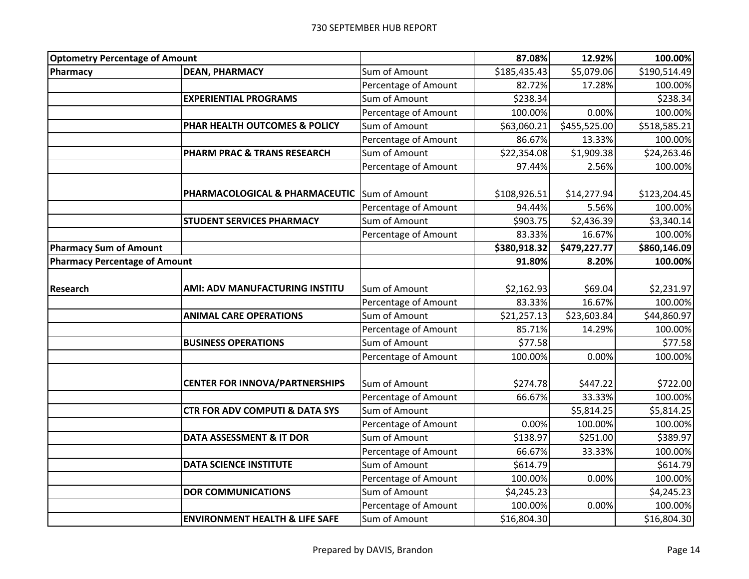| <b>Optometry Percentage of Amount</b> |                                              |                      | 87.08%       | 12.92%       | 100.00%      |
|---------------------------------------|----------------------------------------------|----------------------|--------------|--------------|--------------|
| Pharmacy                              | <b>DEAN, PHARMACY</b>                        | Sum of Amount        | \$185,435.43 | \$5,079.06   | \$190,514.49 |
|                                       |                                              | Percentage of Amount | 82.72%       | 17.28%       | 100.00%      |
|                                       | <b>EXPERIENTIAL PROGRAMS</b>                 | Sum of Amount        | \$238.34     |              | \$238.34     |
|                                       |                                              | Percentage of Amount | 100.00%      | 0.00%        | 100.00%      |
|                                       | PHAR HEALTH OUTCOMES & POLICY                | Sum of Amount        | \$63,060.21  | \$455,525.00 | \$518,585.21 |
|                                       |                                              | Percentage of Amount | 86.67%       | 13.33%       | 100.00%      |
|                                       | PHARM PRAC & TRANS RESEARCH                  | Sum of Amount        | \$22,354.08  | \$1,909.38   | \$24,263.46  |
|                                       |                                              | Percentage of Amount | 97.44%       | 2.56%        | 100.00%      |
|                                       |                                              |                      |              |              |              |
|                                       | PHARMACOLOGICAL & PHARMACEUTIC Sum of Amount |                      | \$108,926.51 | \$14,277.94  | \$123,204.45 |
|                                       |                                              | Percentage of Amount | 94.44%       | 5.56%        | 100.00%      |
|                                       | <b>STUDENT SERVICES PHARMACY</b>             | Sum of Amount        | \$903.75     | \$2,436.39   | \$3,340.14   |
|                                       |                                              | Percentage of Amount | 83.33%       | 16.67%       | 100.00%      |
| <b>Pharmacy Sum of Amount</b>         |                                              |                      | \$380,918.32 | \$479,227.77 | \$860,146.09 |
| <b>Pharmacy Percentage of Amount</b>  |                                              |                      | 91.80%       | 8.20%        | 100.00%      |
|                                       |                                              |                      |              |              |              |
| Research                              | AMI: ADV MANUFACTURING INSTITU               | Sum of Amount        | \$2,162.93   | \$69.04      | \$2,231.97   |
|                                       |                                              | Percentage of Amount | 83.33%       | 16.67%       | 100.00%      |
|                                       | <b>ANIMAL CARE OPERATIONS</b>                | Sum of Amount        | \$21,257.13  | \$23,603.84  | \$44,860.97  |
|                                       |                                              | Percentage of Amount | 85.71%       | 14.29%       | 100.00%      |
|                                       | <b>BUSINESS OPERATIONS</b>                   | Sum of Amount        | \$77.58      |              | \$77.58      |
|                                       |                                              | Percentage of Amount | 100.00%      | 0.00%        | 100.00%      |
|                                       |                                              |                      |              |              |              |
|                                       | <b>CENTER FOR INNOVA/PARTNERSHIPS</b>        | Sum of Amount        | \$274.78     | \$447.22     | \$722.00     |
|                                       |                                              | Percentage of Amount | 66.67%       | 33.33%       | 100.00%      |
|                                       | <b>CTR FOR ADV COMPUTI &amp; DATA SYS</b>    | Sum of Amount        |              | \$5,814.25   | \$5,814.25   |
|                                       |                                              | Percentage of Amount | 0.00%        | 100.00%      | 100.00%      |
|                                       | DATA ASSESSMENT & IT DOR                     | Sum of Amount        | \$138.97     | \$251.00     | \$389.97     |
|                                       |                                              | Percentage of Amount | 66.67%       | 33.33%       | 100.00%      |
|                                       | <b>DATA SCIENCE INSTITUTE</b>                | Sum of Amount        | \$614.79     |              | \$614.79     |
|                                       |                                              | Percentage of Amount | 100.00%      | 0.00%        | 100.00%      |
|                                       | <b>DOR COMMUNICATIONS</b>                    | Sum of Amount        | \$4,245.23   |              | \$4,245.23   |
|                                       |                                              | Percentage of Amount | 100.00%      | 0.00%        | 100.00%      |
|                                       | <b>ENVIRONMENT HEALTH &amp; LIFE SAFE</b>    | Sum of Amount        | \$16,804.30  |              | \$16,804.30  |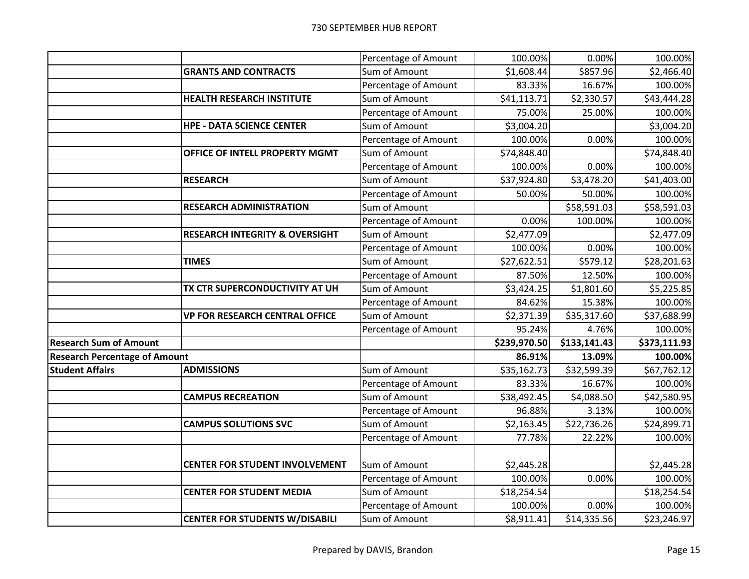|                                      |                                           | Percentage of Amount | 100.00%      | 0.00%        | 100.00%      |
|--------------------------------------|-------------------------------------------|----------------------|--------------|--------------|--------------|
|                                      | <b>GRANTS AND CONTRACTS</b>               | Sum of Amount        | \$1,608.44   | \$857.96     | \$2,466.40   |
|                                      |                                           | Percentage of Amount | 83.33%       | 16.67%       | 100.00%      |
|                                      | <b>HEALTH RESEARCH INSTITUTE</b>          | Sum of Amount        | \$41,113.71  | \$2,330.57   | \$43,444.28  |
|                                      |                                           | Percentage of Amount | 75.00%       | 25.00%       | 100.00%      |
|                                      | <b>HPE - DATA SCIENCE CENTER</b>          | Sum of Amount        | \$3,004.20   |              | \$3,004.20   |
|                                      |                                           | Percentage of Amount | 100.00%      | 0.00%        | 100.00%      |
|                                      | OFFICE OF INTELL PROPERTY MGMT            | Sum of Amount        | \$74,848.40  |              | \$74,848.40  |
|                                      |                                           | Percentage of Amount | 100.00%      | 0.00%        | 100.00%      |
|                                      | <b>RESEARCH</b>                           | Sum of Amount        | \$37,924.80  | \$3,478.20   | \$41,403.00  |
|                                      |                                           | Percentage of Amount | 50.00%       | 50.00%       | 100.00%      |
|                                      | <b>RESEARCH ADMINISTRATION</b>            | Sum of Amount        |              | \$58,591.03  | \$58,591.03  |
|                                      |                                           | Percentage of Amount | 0.00%        | 100.00%      | 100.00%      |
|                                      | <b>RESEARCH INTEGRITY &amp; OVERSIGHT</b> | Sum of Amount        | \$2,477.09   |              | \$2,477.09   |
|                                      |                                           | Percentage of Amount | 100.00%      | 0.00%        | 100.00%      |
|                                      | <b>TIMES</b>                              | Sum of Amount        | \$27,622.51  | \$579.12     | \$28,201.63  |
|                                      |                                           | Percentage of Amount | 87.50%       | 12.50%       | 100.00%      |
|                                      | TX CTR SUPERCONDUCTIVITY AT UH            | Sum of Amount        | \$3,424.25   | \$1,801.60   | \$5,225.85   |
|                                      |                                           | Percentage of Amount | 84.62%       | 15.38%       | 100.00%      |
|                                      | <b>VP FOR RESEARCH CENTRAL OFFICE</b>     | Sum of Amount        | \$2,371.39   | \$35,317.60  | \$37,688.99  |
|                                      |                                           | Percentage of Amount | 95.24%       | 4.76%        | 100.00%      |
| <b>Research Sum of Amount</b>        |                                           |                      | \$239,970.50 | \$133,141.43 | \$373,111.93 |
| <b>Research Percentage of Amount</b> |                                           |                      | 86.91%       | 13.09%       | 100.00%      |
| <b>Student Affairs</b>               | <b>ADMISSIONS</b>                         | Sum of Amount        | \$35,162.73  | \$32,599.39  | \$67,762.12  |
|                                      |                                           | Percentage of Amount | 83.33%       | 16.67%       | 100.00%      |
|                                      | <b>CAMPUS RECREATION</b>                  | Sum of Amount        | \$38,492.45  | \$4,088.50   | \$42,580.95  |
|                                      |                                           | Percentage of Amount | 96.88%       | 3.13%        | 100.00%      |
|                                      | <b>CAMPUS SOLUTIONS SVC</b>               | Sum of Amount        | \$2,163.45   | \$22,736.26  | \$24,899.71  |
|                                      |                                           | Percentage of Amount | 77.78%       | 22.22%       | 100.00%      |
|                                      |                                           |                      |              |              |              |
|                                      | <b>CENTER FOR STUDENT INVOLVEMENT</b>     | Sum of Amount        | \$2,445.28   |              | \$2,445.28   |
|                                      |                                           | Percentage of Amount | 100.00%      | 0.00%        | 100.00%      |
|                                      | <b>CENTER FOR STUDENT MEDIA</b>           | Sum of Amount        | \$18,254.54  |              | \$18,254.54  |
|                                      |                                           | Percentage of Amount | 100.00%      | 0.00%        | 100.00%      |
|                                      | <b>CENTER FOR STUDENTS W/DISABILI</b>     | Sum of Amount        | \$8,911.41   | \$14,335.56  | \$23,246.97  |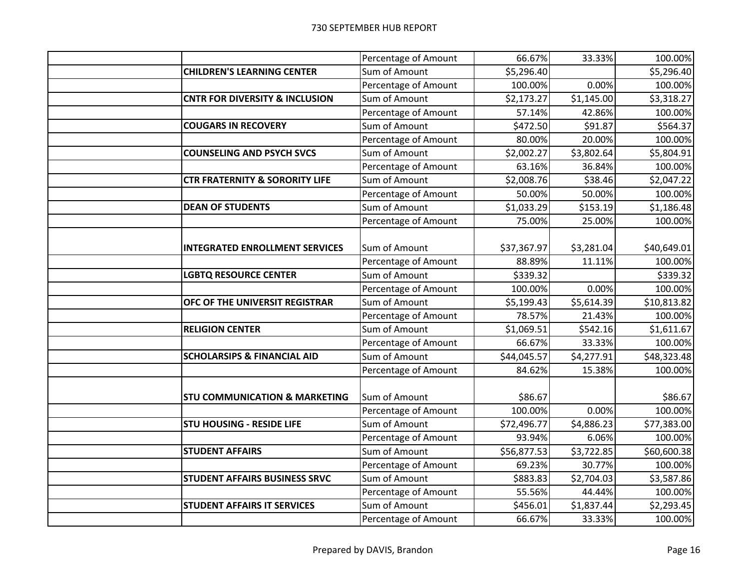|                                           | Percentage of Amount | 66.67%      | 33.33%     | 100.00%     |
|-------------------------------------------|----------------------|-------------|------------|-------------|
| <b>CHILDREN'S LEARNING CENTER</b>         | Sum of Amount        | \$5,296.40  |            | \$5,296.40  |
|                                           | Percentage of Amount | 100.00%     | 0.00%      | 100.00%     |
| <b>CNTR FOR DIVERSITY &amp; INCLUSION</b> | Sum of Amount        | \$2,173.27  | \$1,145.00 | \$3,318.27  |
|                                           | Percentage of Amount | 57.14%      | 42.86%     | 100.00%     |
| <b>COUGARS IN RECOVERY</b>                | Sum of Amount        | \$472.50    | \$91.87    | \$564.37    |
|                                           | Percentage of Amount | 80.00%      | 20.00%     | 100.00%     |
| <b>COUNSELING AND PSYCH SVCS</b>          | Sum of Amount        | \$2,002.27  | \$3,802.64 | \$5,804.91  |
|                                           | Percentage of Amount | 63.16%      | 36.84%     | 100.00%     |
| <b>CTR FRATERNITY &amp; SORORITY LIFE</b> | Sum of Amount        | \$2,008.76  | \$38.46    | \$2,047.22  |
|                                           | Percentage of Amount | 50.00%      | 50.00%     | 100.00%     |
| <b>DEAN OF STUDENTS</b>                   | Sum of Amount        | \$1,033.29  | \$153.19   | \$1,186.48  |
|                                           | Percentage of Amount | 75.00%      | 25.00%     | 100.00%     |
| <b>INTEGRATED ENROLLMENT SERVICES</b>     | Sum of Amount        | \$37,367.97 | \$3,281.04 | \$40,649.01 |
|                                           | Percentage of Amount | 88.89%      | 11.11%     | 100.00%     |
| <b>LGBTQ RESOURCE CENTER</b>              | Sum of Amount        | \$339.32    |            | \$339.32    |
|                                           | Percentage of Amount | 100.00%     | 0.00%      | 100.00%     |
| OFC OF THE UNIVERSIT REGISTRAR            | Sum of Amount        | \$5,199.43  | \$5,614.39 | \$10,813.82 |
|                                           | Percentage of Amount | 78.57%      | 21.43%     | 100.00%     |
| <b>RELIGION CENTER</b>                    | Sum of Amount        | \$1,069.51  | \$542.16   | \$1,611.67  |
|                                           | Percentage of Amount | 66.67%      | 33.33%     | 100.00%     |
| <b>SCHOLARSIPS &amp; FINANCIAL AID</b>    | Sum of Amount        | \$44,045.57 | \$4,277.91 | \$48,323.48 |
|                                           | Percentage of Amount | 84.62%      | 15.38%     | 100.00%     |
| <b>STU COMMUNICATION &amp; MARKETING</b>  | Sum of Amount        | \$86.67     |            | \$86.67     |
|                                           | Percentage of Amount | 100.00%     | 0.00%      | 100.00%     |
| <b>STU HOUSING - RESIDE LIFE</b>          | Sum of Amount        | \$72,496.77 | \$4,886.23 | \$77,383.00 |
|                                           | Percentage of Amount | 93.94%      | 6.06%      | 100.00%     |
| <b>STUDENT AFFAIRS</b>                    | Sum of Amount        | \$56,877.53 | \$3,722.85 | \$60,600.38 |
|                                           | Percentage of Amount | 69.23%      | 30.77%     | 100.00%     |
| STUDENT AFFAIRS BUSINESS SRVC             | Sum of Amount        | \$883.83    | \$2,704.03 | \$3,587.86  |
|                                           | Percentage of Amount | 55.56%      | 44.44%     | 100.00%     |
| <b>STUDENT AFFAIRS IT SERVICES</b>        | Sum of Amount        | \$456.01    | \$1,837.44 | \$2,293.45  |
|                                           | Percentage of Amount | 66.67%      | 33.33%     | 100.00%     |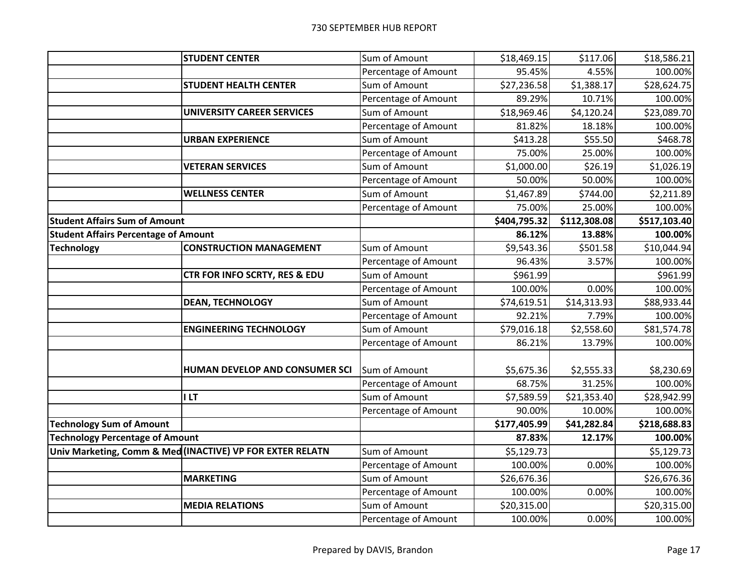|                                             | <b>STUDENT CENTER</b>                                     | Sum of Amount        | \$18,469.15  | \$117.06     | \$18,586.21  |
|---------------------------------------------|-----------------------------------------------------------|----------------------|--------------|--------------|--------------|
|                                             |                                                           | Percentage of Amount | 95.45%       | 4.55%        | 100.00%      |
|                                             | <b>STUDENT HEALTH CENTER</b>                              | Sum of Amount        | \$27,236.58  | \$1,388.17   | \$28,624.75  |
|                                             |                                                           | Percentage of Amount | 89.29%       | 10.71%       | 100.00%      |
|                                             | <b>UNIVERSITY CAREER SERVICES</b>                         | Sum of Amount        | \$18,969.46  | \$4,120.24   | \$23,089.70  |
|                                             |                                                           | Percentage of Amount | 81.82%       | 18.18%       | 100.00%      |
|                                             | <b>URBAN EXPERIENCE</b>                                   | Sum of Amount        | \$413.28     | \$55.50      | \$468.78     |
|                                             |                                                           | Percentage of Amount | 75.00%       | 25.00%       | 100.00%      |
|                                             | <b>VETERAN SERVICES</b>                                   | Sum of Amount        | \$1,000.00   | \$26.19      | \$1,026.19   |
|                                             |                                                           | Percentage of Amount | 50.00%       | 50.00%       | 100.00%      |
|                                             | <b>WELLNESS CENTER</b>                                    | Sum of Amount        | \$1,467.89   | \$744.00     | \$2,211.89   |
|                                             |                                                           | Percentage of Amount | 75.00%       | 25.00%       | 100.00%      |
| <b>Student Affairs Sum of Amount</b>        |                                                           |                      | \$404,795.32 | \$112,308.08 | \$517,103.40 |
| <b>Student Affairs Percentage of Amount</b> |                                                           |                      | 86.12%       | 13.88%       | 100.00%      |
| <b>Technology</b>                           | <b>CONSTRUCTION MANAGEMENT</b>                            | Sum of Amount        | \$9,543.36   | \$501.58     | \$10,044.94  |
|                                             |                                                           | Percentage of Amount | 96.43%       | 3.57%        | 100.00%      |
|                                             | CTR FOR INFO SCRTY, RES & EDU                             | Sum of Amount        | \$961.99     |              | \$961.99     |
|                                             |                                                           | Percentage of Amount | 100.00%      | 0.00%        | 100.00%      |
|                                             | <b>DEAN, TECHNOLOGY</b>                                   | Sum of Amount        | \$74,619.51  | \$14,313.93  | \$88,933.44  |
|                                             |                                                           | Percentage of Amount | 92.21%       | 7.79%        | 100.00%      |
|                                             | <b>ENGINEERING TECHNOLOGY</b>                             | Sum of Amount        | \$79,016.18  | \$2,558.60   | \$81,574.78  |
|                                             |                                                           | Percentage of Amount | 86.21%       | 13.79%       | 100.00%      |
|                                             |                                                           |                      |              |              |              |
|                                             | HUMAN DEVELOP AND CONSUMER SCI                            | Sum of Amount        | \$5,675.36   | \$2,555.33   | \$8,230.69   |
|                                             |                                                           | Percentage of Amount | 68.75%       | 31.25%       | 100.00%      |
|                                             | <b>ILT</b>                                                | Sum of Amount        | \$7,589.59   | \$21,353.40  | \$28,942.99  |
|                                             |                                                           | Percentage of Amount | 90.00%       | 10.00%       | 100.00%      |
| <b>Technology Sum of Amount</b>             |                                                           |                      | \$177,405.99 | \$41,282.84  | \$218,688.83 |
| <b>Technology Percentage of Amount</b>      |                                                           |                      | 87.83%       | 12.17%       | 100.00%      |
|                                             | Univ Marketing, Comm & Med (INACTIVE) VP FOR EXTER RELATN | Sum of Amount        | \$5,129.73   |              | \$5,129.73   |
|                                             |                                                           | Percentage of Amount | 100.00%      | 0.00%        | 100.00%      |
|                                             | <b>MARKETING</b>                                          | Sum of Amount        | \$26,676.36  |              | \$26,676.36  |
|                                             |                                                           | Percentage of Amount | 100.00%      | 0.00%        | 100.00%      |
|                                             | <b>MEDIA RELATIONS</b>                                    | Sum of Amount        | \$20,315.00  |              | \$20,315.00  |
|                                             |                                                           | Percentage of Amount | 100.00%      | 0.00%        | 100.00%      |